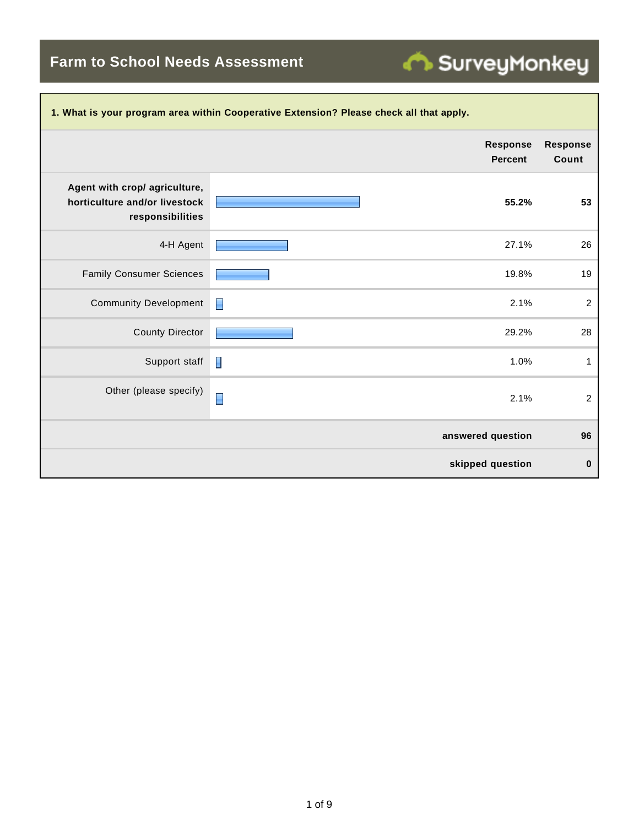**Farm to School Needs Assessment**

| 1. What is your program area within Cooperative Extension? Please check all that apply. |                                   |                          |  |  |  |
|-----------------------------------------------------------------------------------------|-----------------------------------|--------------------------|--|--|--|
|                                                                                         | <b>Response</b><br><b>Percent</b> | <b>Response</b><br>Count |  |  |  |
| Agent with crop/ agriculture,<br>horticulture and/or livestock<br>responsibilities      | 55.2%                             | 53                       |  |  |  |
| 4-H Agent                                                                               | 27.1%                             | 26                       |  |  |  |
| <b>Family Consumer Sciences</b>                                                         | 19.8%                             | 19                       |  |  |  |
| <b>Community Development</b>                                                            | 2.1%<br>н                         | $\overline{c}$           |  |  |  |
| <b>County Director</b>                                                                  | 29.2%                             | 28                       |  |  |  |
| Support staff                                                                           | H<br>1.0%                         | $\mathbf{1}$             |  |  |  |
| Other (please specify)                                                                  | Π<br>2.1%                         | $\overline{c}$           |  |  |  |
|                                                                                         | answered question                 | 96                       |  |  |  |
|                                                                                         | skipped question                  | 0                        |  |  |  |

SurveyMonkey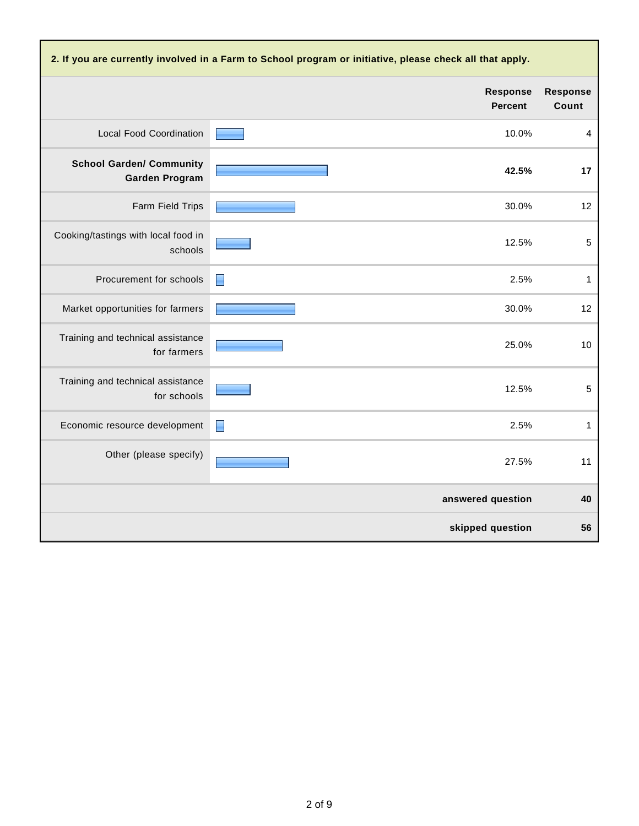| 2. If you are currently involved in a Farm to School program or initiative, please check all that apply. |                                   |                          |  |  |
|----------------------------------------------------------------------------------------------------------|-----------------------------------|--------------------------|--|--|
|                                                                                                          | <b>Response</b><br><b>Percent</b> | <b>Response</b><br>Count |  |  |
| <b>Local Food Coordination</b>                                                                           | 10.0%                             | $\overline{4}$           |  |  |
| <b>School Garden/ Community</b><br><b>Garden Program</b>                                                 | 42.5%                             | 17                       |  |  |
| Farm Field Trips                                                                                         | 30.0%                             | 12                       |  |  |
| Cooking/tastings with local food in<br>schools                                                           | 12.5%                             | 5                        |  |  |
| Procurement for schools                                                                                  | 2.5%<br>H                         | $\mathbf{1}$             |  |  |
| Market opportunities for farmers                                                                         | 30.0%                             | 12                       |  |  |
| Training and technical assistance<br>for farmers                                                         | 25.0%                             | 10                       |  |  |
| Training and technical assistance<br>for schools                                                         | 12.5%                             | $\sqrt{5}$               |  |  |
| Economic resource development                                                                            | 2.5%<br>П                         | $\mathbf{1}$             |  |  |
| Other (please specify)                                                                                   | 27.5%                             | 11                       |  |  |
|                                                                                                          | answered question                 | 40                       |  |  |
|                                                                                                          | skipped question                  | 56                       |  |  |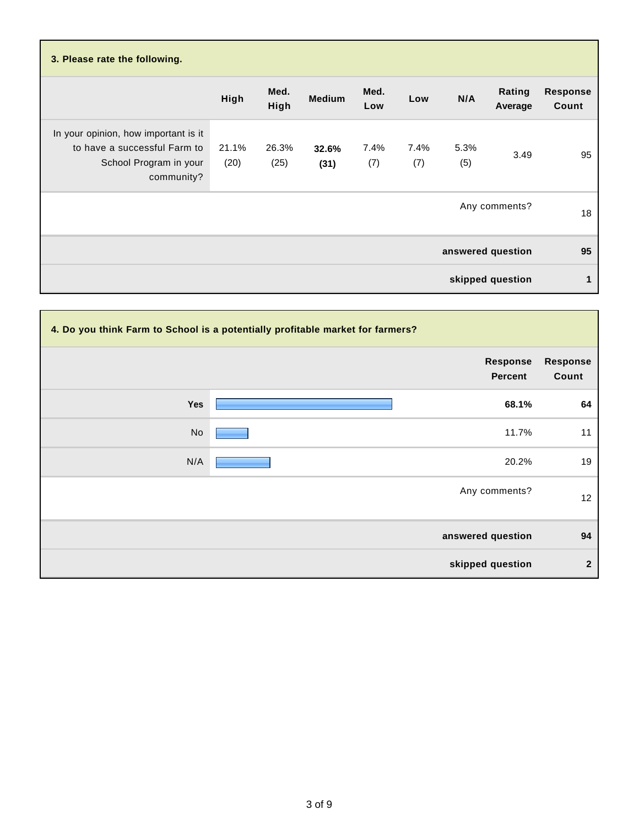| 3. Please rate the following.                                                                                |               |               |               |             |             |             |                   |                          |
|--------------------------------------------------------------------------------------------------------------|---------------|---------------|---------------|-------------|-------------|-------------|-------------------|--------------------------|
|                                                                                                              | High          | Med.<br>High  | <b>Medium</b> | Med.<br>Low | Low         | N/A         | Rating<br>Average | <b>Response</b><br>Count |
| In your opinion, how important is it<br>to have a successful Farm to<br>School Program in your<br>community? | 21.1%<br>(20) | 26.3%<br>(25) | 32.6%<br>(31) | 7.4%<br>(7) | 7.4%<br>(7) | 5.3%<br>(5) | 3.49              | 95                       |
|                                                                                                              |               |               |               |             |             |             | Any comments?     | 18                       |
|                                                                                                              |               |               |               |             |             |             | answered question | 95                       |
|                                                                                                              |               |               |               |             |             |             | skipped question  | 1                        |

|     | 4. Do you think Farm to School is a potentially profitable market for farmers? |                   |
|-----|--------------------------------------------------------------------------------|-------------------|
|     | <b>Response</b><br>Percent                                                     | Response<br>Count |
| Yes | 68.1%                                                                          | 64                |
| No  | 11.7%                                                                          | 11                |
| N/A | 20.2%                                                                          | 19                |
|     | Any comments?                                                                  | 12                |
|     | answered question                                                              | 94                |
|     | skipped question                                                               | $\overline{2}$    |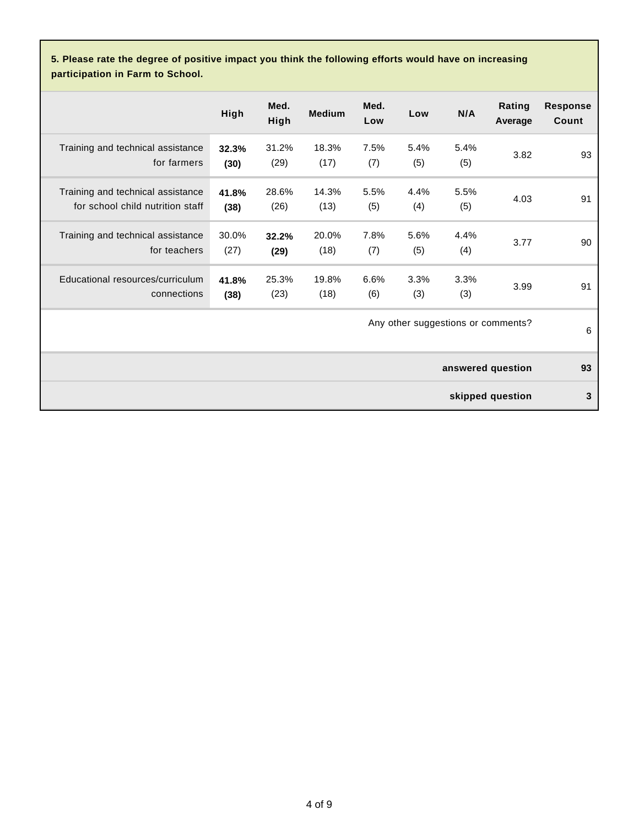**5. Please rate the degree of positive impact you think the following efforts would have on increasing participation in Farm to School.**

|                                                                       | High          | Med.<br>High  | <b>Medium</b> | Med.<br>Low | Low         | N/A         | Rating<br>Average                  | <b>Response</b><br>Count |
|-----------------------------------------------------------------------|---------------|---------------|---------------|-------------|-------------|-------------|------------------------------------|--------------------------|
| Training and technical assistance<br>for farmers                      | 32.3%<br>(30) | 31.2%<br>(29) | 18.3%<br>(17) | 7.5%<br>(7) | 5.4%<br>(5) | 5.4%<br>(5) | 3.82                               | 93                       |
| Training and technical assistance<br>for school child nutrition staff | 41.8%<br>(38) | 28.6%<br>(26) | 14.3%<br>(13) | 5.5%<br>(5) | 4.4%<br>(4) | 5.5%<br>(5) | 4.03                               | 91                       |
| Training and technical assistance<br>for teachers                     | 30.0%<br>(27) | 32.2%<br>(29) | 20.0%<br>(18) | 7.8%<br>(7) | 5.6%<br>(5) | 4.4%<br>(4) | 3.77                               | 90                       |
| Educational resources/curriculum<br>connections                       | 41.8%<br>(38) | 25.3%<br>(23) | 19.8%<br>(18) | 6.6%<br>(6) | 3.3%<br>(3) | 3.3%<br>(3) | 3.99                               | 91                       |
|                                                                       |               |               |               |             |             |             | Any other suggestions or comments? | 6                        |
|                                                                       |               |               |               |             |             |             | answered question                  | 93                       |
|                                                                       |               |               |               |             |             |             | skipped question                   | 3                        |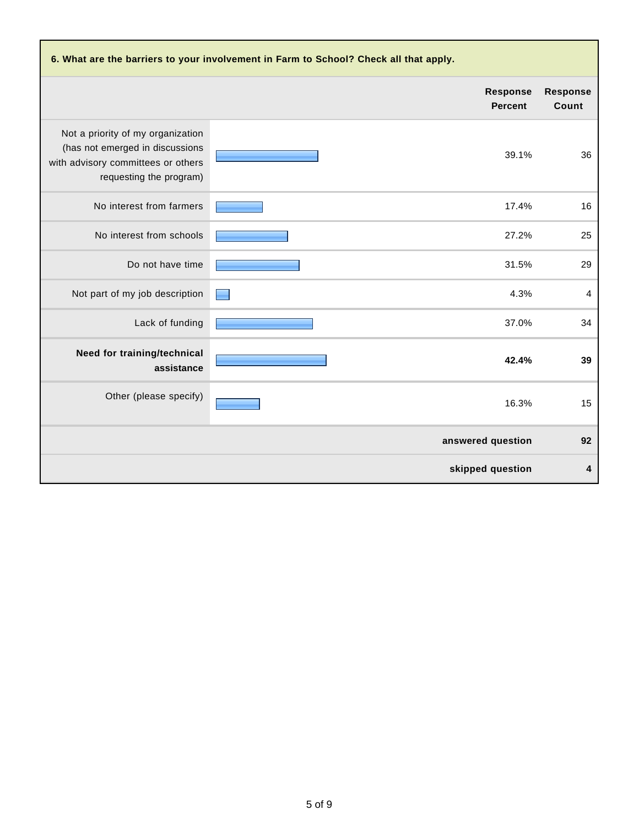| 6. What are the barriers to your involvement in Farm to School? Check all that apply.                                                 |                                   |                          |  |  |
|---------------------------------------------------------------------------------------------------------------------------------------|-----------------------------------|--------------------------|--|--|
|                                                                                                                                       | <b>Response</b><br><b>Percent</b> | <b>Response</b><br>Count |  |  |
| Not a priority of my organization<br>(has not emerged in discussions<br>with advisory committees or others<br>requesting the program) | 39.1%                             | 36                       |  |  |
| No interest from farmers                                                                                                              | 17.4%                             | 16                       |  |  |
| No interest from schools                                                                                                              | 27.2%                             | 25                       |  |  |
| Do not have time                                                                                                                      | 31.5%                             | 29                       |  |  |
| Not part of my job description                                                                                                        | 4.3%                              | $\overline{4}$           |  |  |
| Lack of funding                                                                                                                       | 37.0%                             | 34                       |  |  |
| Need for training/technical<br>assistance                                                                                             | 42.4%                             | 39                       |  |  |
| Other (please specify)                                                                                                                | 16.3%                             | 15                       |  |  |
|                                                                                                                                       | answered question                 | 92                       |  |  |
|                                                                                                                                       | skipped question                  | 4                        |  |  |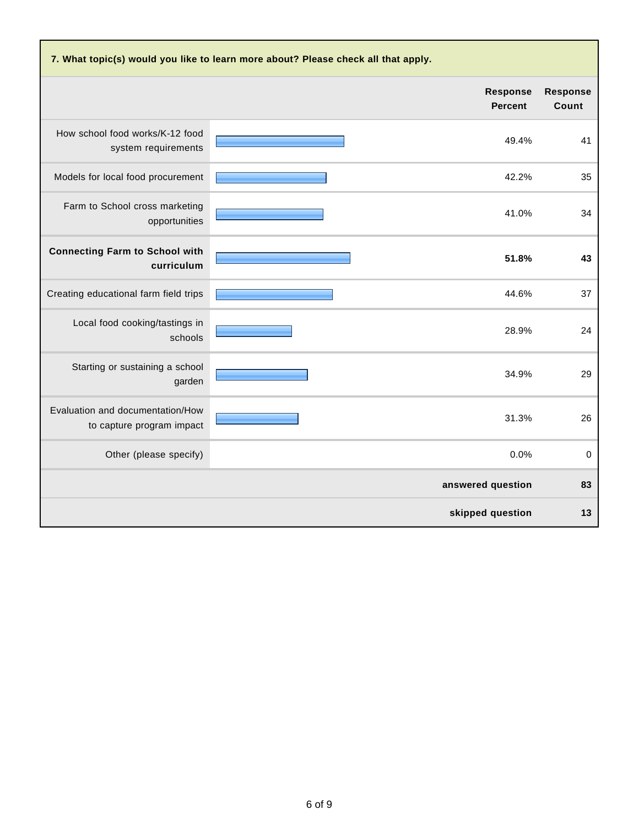| 7. What topic(s) would you like to learn more about? Please check all that apply. |                                   |                          |  |  |  |
|-----------------------------------------------------------------------------------|-----------------------------------|--------------------------|--|--|--|
|                                                                                   | <b>Response</b><br><b>Percent</b> | <b>Response</b><br>Count |  |  |  |
| How school food works/K-12 food<br>system requirements                            | 49.4%                             | 41                       |  |  |  |
| Models for local food procurement                                                 | 42.2%                             | 35                       |  |  |  |
| Farm to School cross marketing<br>opportunities                                   | 41.0%                             | 34                       |  |  |  |
| <b>Connecting Farm to School with</b><br>curriculum                               | 51.8%                             | 43                       |  |  |  |
| Creating educational farm field trips                                             | 44.6%                             | 37                       |  |  |  |
| Local food cooking/tastings in<br>schools                                         | 28.9%                             | 24                       |  |  |  |
| Starting or sustaining a school<br>garden                                         | 34.9%                             | 29                       |  |  |  |
| Evaluation and documentation/How<br>to capture program impact                     | 31.3%                             | 26                       |  |  |  |
| Other (please specify)                                                            | 0.0%                              | 0                        |  |  |  |
|                                                                                   | answered question                 | 83                       |  |  |  |
|                                                                                   | skipped question                  | 13                       |  |  |  |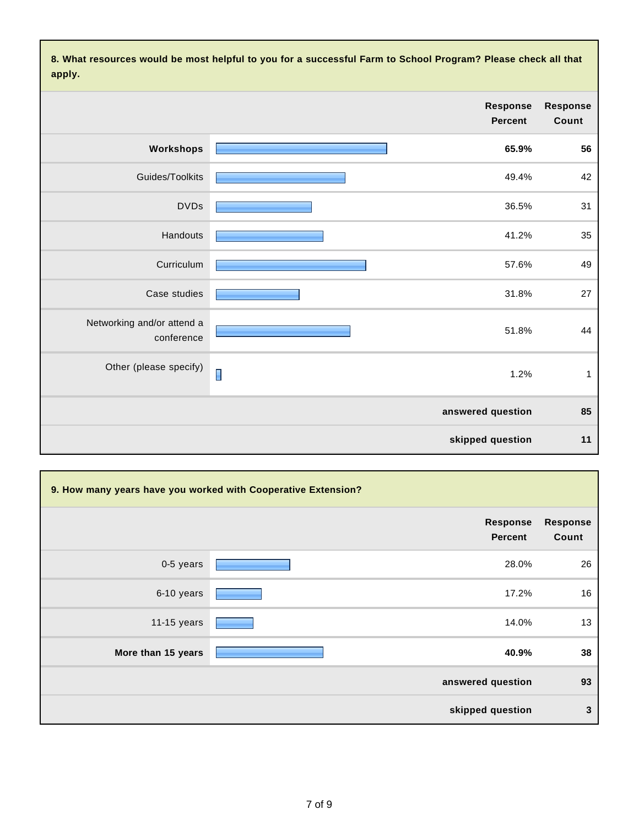**8. What resources would be most helpful to you for a successful Farm to School Program? Please check all that apply.**

| Response<br>Count | <b>Response</b><br><b>Percent</b> |   |                                          |
|-------------------|-----------------------------------|---|------------------------------------------|
| 56                | 65.9%                             |   | Workshops                                |
| 42                | 49.4%                             |   | Guides/Toolkits                          |
| 31                | 36.5%                             |   | <b>DVDs</b>                              |
| 35                | 41.2%                             |   | Handouts                                 |
| 49                | 57.6%                             |   | Curriculum                               |
| 27                | 31.8%                             |   | Case studies                             |
| 44                | 51.8%                             |   | Networking and/or attend a<br>conference |
| $\mathbf{1}$      | 1.2%                              | I | Other (please specify)                   |
| 85                | answered question                 |   |                                          |
| 11                | skipped question                  |   |                                          |

| 9. How many years have you worked with Cooperative Extension? |                            |                          |  |  |
|---------------------------------------------------------------|----------------------------|--------------------------|--|--|
|                                                               | Response<br><b>Percent</b> | <b>Response</b><br>Count |  |  |
| 0-5 years                                                     | 28.0%                      | 26                       |  |  |
| 6-10 years                                                    | 17.2%                      | 16                       |  |  |
| 11-15 years                                                   | 14.0%                      | 13                       |  |  |
| More than 15 years                                            | 40.9%                      | 38                       |  |  |
|                                                               | answered question          | 93                       |  |  |
|                                                               | skipped question           | 3                        |  |  |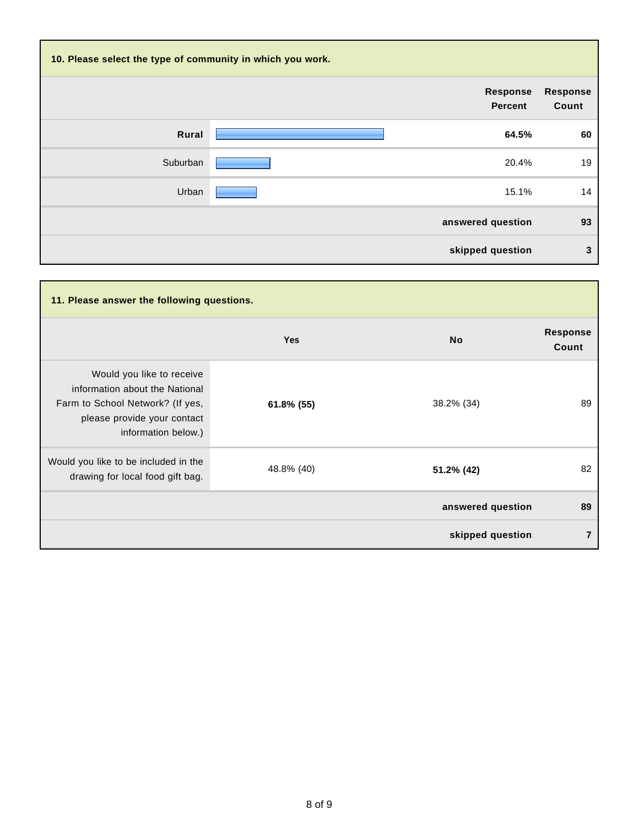| 10. Please select the type of community in which you work. |  |                            |                          |  |
|------------------------------------------------------------|--|----------------------------|--------------------------|--|
|                                                            |  | Response<br><b>Percent</b> | <b>Response</b><br>Count |  |
| Rural                                                      |  | 64.5%                      | 60                       |  |
| Suburban                                                   |  | 20.4%                      | 19                       |  |
| Urban                                                      |  | 15.1%                      | 14                       |  |
|                                                            |  | answered question          | 93                       |  |
|                                                            |  | skipped question           | 3                        |  |

| 11. Please answer the following questions.                                                                                                            |            |                   |                          |  |
|-------------------------------------------------------------------------------------------------------------------------------------------------------|------------|-------------------|--------------------------|--|
|                                                                                                                                                       | <b>Yes</b> | <b>No</b>         | <b>Response</b><br>Count |  |
| Would you like to receive<br>information about the National<br>Farm to School Network? (If yes,<br>please provide your contact<br>information below.) | 61.8% (55) | 38.2% (34)        | 89                       |  |
| Would you like to be included in the<br>drawing for local food gift bag.                                                                              | 48.8% (40) | 51.2% (42)        | 82                       |  |
|                                                                                                                                                       |            | answered question | 89                       |  |
|                                                                                                                                                       |            | skipped question  | $\overline{7}$           |  |